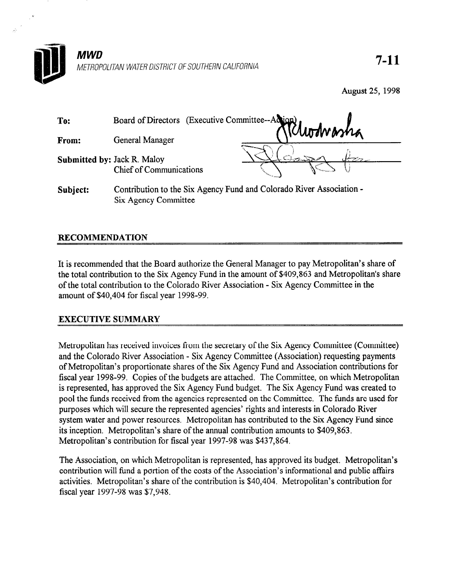

August 25, 1998

| To:                         | Board of Directors (Executive Committee-Adjant)                                                                               |  |  |
|-----------------------------|-------------------------------------------------------------------------------------------------------------------------------|--|--|
| From:                       | General Manager                                                                                                               |  |  |
| Submitted by: Jack R. Maloy | <b>Chief of Communications</b>                                                                                                |  |  |
| .                           | $\alpha$ , if $\alpha$ is a set of $\alpha$ is $\alpha$ is the set of $\alpha$ in $\alpha$ is the set of $\alpha$ is $\alpha$ |  |  |

Subject: Contribution to the Six Agency Fund and Colorado River Association - Six Agency Committee

# RECOMMENDATION

It is recommended that the Board authorize the General Manager to pay Metropolitan's share of the total contribution to the Six Agency Fund in the amount of \$409,863 and Metropolitan's share of the total contribution to the Colorado River Association - Six Agency Committee in the amount of \$40,404 for fiscal year 1998-99.

## EXECUTIVE SUMMARY

Metropolitan has received invoices from the secretary of the Six Agency Committee (Committee) and the Colorado River Association - Six Agency Committee (Association) requesting payments of Metropolitan's proportionate shares of the Six Agency Fund and Association contributions for fiscal year 1998-99. Copies of the budgets are attached. The Committee, on which Metropolitan is represented, has approved the Six Agency Fund budget. The Six Agency Fund was created to pool the funds received from the agencies represented on the Committee. The funds are used for purposes which will secure the represented agencies' rights and interests in Colorado River system water and power resources. Metropolitan has contributed to the Six Agency Fund since its inception. Metropolitan's share of the annual contribution amounts to \$409,863. Metropolitan's contribution for fiscal year 1997-98 was \$437,864.

The Association, on which Metropolitan is represented, has approved its budget. Metropolitan's contribution will fund a portion of the costs of the Association's informational and public affairs activities. Metropolitan's share of the contribution is \$40,404. Metropolitan's contribution for fiscal year 1997-98 was \$7,948.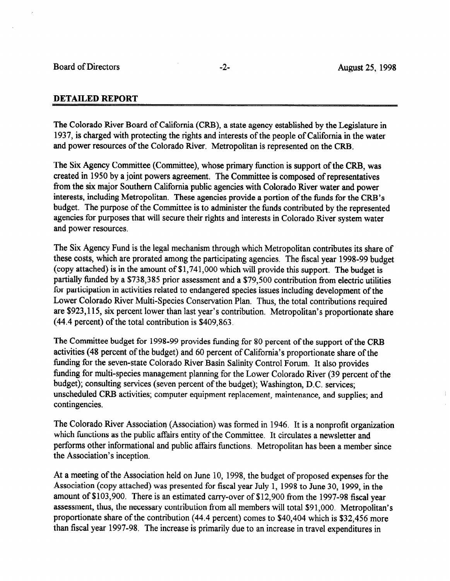#### DETAILED REPORT

The Colorado River Board of California (CRB), a state agency established by the Legislature in 1937, is charged with protecting the rights and interests of the people of California in the water and power resources of the Colorado River. Metropolitan is represented on the CRB.

The Six Agency Committee (Committee), whose primary function is support of the CRB, was created in 1950 by a joint powers agreement. The Committee is composed of representatives from the six major Southern California public agencies with Colorado River water and power interests, including Metropolitan. These agencies provide a portion of the funds for the CRB's budget. The purpose of the Committee is to administer the funds contributed by the represented agencies for purposes that will secure their rights and interests in Colorado River system water and power resources.

The Six Agency Fund is the legal mechanism through which Metropolitan contributes its share of these costs, which are prorated among the participating agencies. The fiscal year 1998-99 budget (copy attached) is in the amount of \$1,741,000 which will provide this support. The budget is partially funded by a \$738,385 prior assessment and a \$79,500 contribution from electric utilities for participation in activities related to endangered species issues including development of the Lower Colorado River Multi-Species Conservation Plan. Thus, the total contributions required are \$923,115, six percent lower than last year's contribution. Metropolitan's proportionate share (44.4 percent) of the total contribution is \$409,863.

The Committee budget for 1998-99 provides funding for 80 percent of the support of the CRB activities (48 percent of the budget) and 60 percent of California's proportionate share of the funding for the seven-state Colorado River Basin Salinity Control Forum. It also provides funding for multi-species management planning for the Lower Colorado River (39 percent of the budget); consulting services (seven percent of the budget); Washington, D.C. services; unscheduled CRB activities; computer equipment replacement, maintenance, and supplies; and contingencies.

The Colorado River Association (Association) was formed in 1946. It is a nonprofit organization which functions as the public affairs entity of the Committee. It circulates a newsletter and performs other informational and public affairs functions. Metropolitan has been a member since the Association's inception.

At a meeting of the Association held on June 10, 1998, the budget of proposed expenses for the Association (copy attached) was presented for fiscal year July 1, 1998 to June 30, 1999, in the amount of \$103,900. There is an estimated carry-over of \$12,900 from the 1997-98 fiscal year assessment, thus, the necessary contribution from all members will total \$91,000. Metropolitan's proportionate share of the contribution (44.4 percent) comes to \$40,404 which is \$32,456 more than fiscal year 1997-98. The increase is primarily due to an increase in travel expenditures in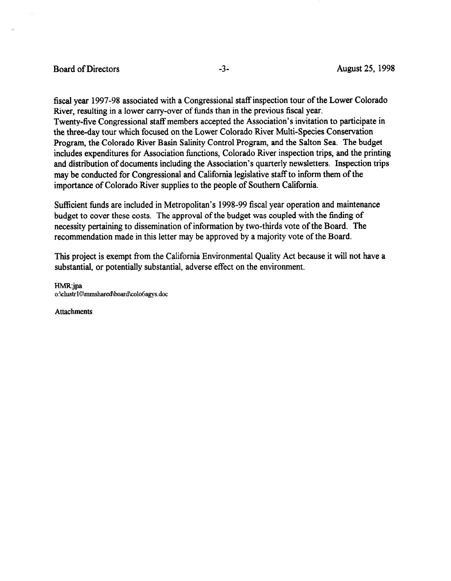#### Board of Directors -3- August 25, 1998

fiscal year 1997-98 associated with a Congressional staff inspection tour of the Lower Colorado River, resulting in a lower carry-over of funds than in the previous fiscal year. Twenty-five Congressional staff members accepted the Association's invitation to participate in the three-day tour which focused on the Lower Colorado River Multi-Species Conservation Program, the Colorado River Basin Salinity Control Program, and the Salton Sea. The budget includes expenditures for Association functions, Colorado River inspection trips, and the printing and distribution of documents including the Association's quarterly newsletters. Inspection trips may be conducted for Congressional and California legislative staff to inform them of the importance of Colorado River supplies to the people of Southern California.

Sufficient funds are included in Metropolitan's 1998-99 fiscal year operation and maintenance budget to cover these costs. The approval of the budget was coupled with the finding of necessity pertaining to dissemination of information by two-thirds vote of the Board. The recommendation made in this letter may be approved by a majority vote of the Board.

This project is exempt from the California Environmental Quality Act because it will not have a substantial, or potentially substantial, adverse effect on the environment.

HMR:jpa o:\clustr10\mmshared\board\colo6agys.doc

Attachments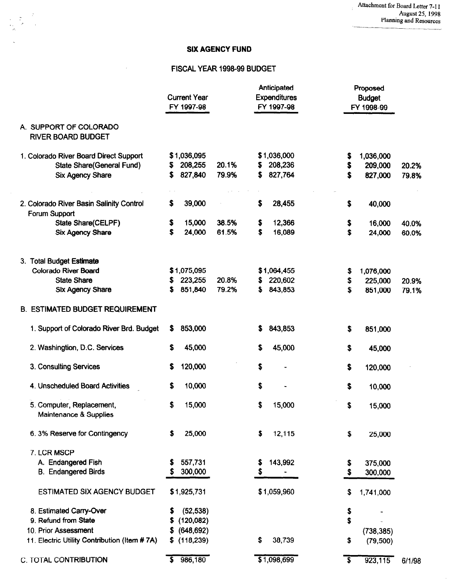Attachment for Board Letter 7-l 1 August 25, 1998 Planning and Resources

## SIX AGENCY FUND

## FISCAL YEAR 1998-99 BUDGET

 $\bar{\lambda}$ 

|                                                     | <b>Current Year</b><br>FY 1997-98 |       |     | Anticipated<br><b>Expenditures</b><br>FY 1997-98 | Proposed<br><b>Budget</b><br>FY 1998-99 |            |        |
|-----------------------------------------------------|-----------------------------------|-------|-----|--------------------------------------------------|-----------------------------------------|------------|--------|
| A. SUPPORT OF COLORADO<br><b>RIVER BOARD BUDGET</b> |                                   |       |     |                                                  |                                         |            |        |
| 1. Colorado River Board Direct Support              | \$1,036,095                       |       |     | \$1,036,000                                      | \$                                      | 1,036,000  |        |
| State Share(General Fund)                           | 208,255<br>3                      | 20.1% | \$. | 208,236                                          | \$                                      | 209,000    | 20.2%  |
| <b>Six Agency Share</b>                             | 827,840<br>S                      | 79.9% | \$  | 827,764                                          | S                                       | 827,000    | 79.8%  |
| 2. Colorado River Basin Salinity Control            | \$<br>39,000                      |       | \$  | 28,455                                           | \$                                      | 40,000     |        |
| Forum Support                                       |                                   |       |     |                                                  |                                         |            |        |
| <b>State Share(CELPF)</b>                           | \$<br>15,000                      | 38.5% | \$  | 12,366                                           | \$                                      | 16,000     | 40.0%  |
| <b>Six Agency Share</b>                             | \$<br>24,000                      | 61.5% | \$  | 16,089                                           | \$                                      | 24,000     | 60.0%  |
| 3. Total Budget Estimate                            |                                   |       |     |                                                  |                                         |            |        |
| <b>Colorado River Board</b>                         | \$1,075,095                       |       |     | \$1,064,455                                      | \$                                      | 1,076,000  |        |
| <b>State Share</b>                                  | 223,255                           | 20.8% | S   | 220,602                                          | \$                                      | 225,000    | 20.9%  |
| Six Agency Share                                    | 851,840<br>s                      | 79.2% | S.  | 843,853                                          | \$                                      | 851,000    | 79.1%  |
| <b>B. ESTIMATED BUDGET REQUIREMENT</b>              |                                   |       |     |                                                  |                                         |            |        |
| 1. Support of Colorado River Brd. Budget            | 853,000<br>\$                     |       | S   | 843,853                                          | \$                                      | 851,000    |        |
| 2. Washingtion, D.C. Services                       | \$<br>45,000                      |       | \$  | 45,000                                           | \$                                      | 45,000     |        |
| 3. Consulting Services                              | \$<br>120,000                     |       | \$  |                                                  | \$                                      | 120,000    |        |
| 4. Unscheduled Board Activities                     | \$<br>10,000                      |       | \$  |                                                  | \$                                      | 10,000     |        |
| 5. Computer, Replacement,<br>Maintenance & Supplies | \$<br>15,000                      |       | \$  | 15,000                                           | \$                                      | 15,000     |        |
| 6.3% Reserve for Contingency                        | 25,000<br>s                       |       | \$  | 12,115                                           | \$                                      | 25,000     |        |
| 7. LCR MSCP                                         |                                   |       |     |                                                  |                                         |            |        |
| A. Endangered Fish                                  | 557,731                           |       | \$  | 143,992                                          | \$                                      | 375,000    |        |
| <b>B.</b> Endangered Birds                          | 300,000                           |       |     |                                                  | \$                                      | 300,000    |        |
|                                                     |                                   |       |     |                                                  |                                         |            |        |
| <b>ESTIMATED SIX AGENCY BUDGET</b>                  | \$1,925,731                       |       |     | \$1,059,960                                      | S                                       | 1,741,000  |        |
| 8. Estimated Carry-Over                             | (52, 538)                         |       |     |                                                  | \$                                      |            |        |
| 9. Refund from State                                | (120, 082)                        |       |     |                                                  | \$                                      |            |        |
| 10. Prior Assessment                                | (648, 692)                        |       |     |                                                  |                                         | (738, 385) |        |
| 11. Electric Utility Contribution (Item #7A)        | (118, 239)                        |       | s   | 38,739                                           | \$                                      | (79, 500)  |        |
| C. TOTAL CONTRIBUTION                               | 986,180                           |       |     | \$1,098,699                                      | S                                       | 923,115    | 6/1/98 |